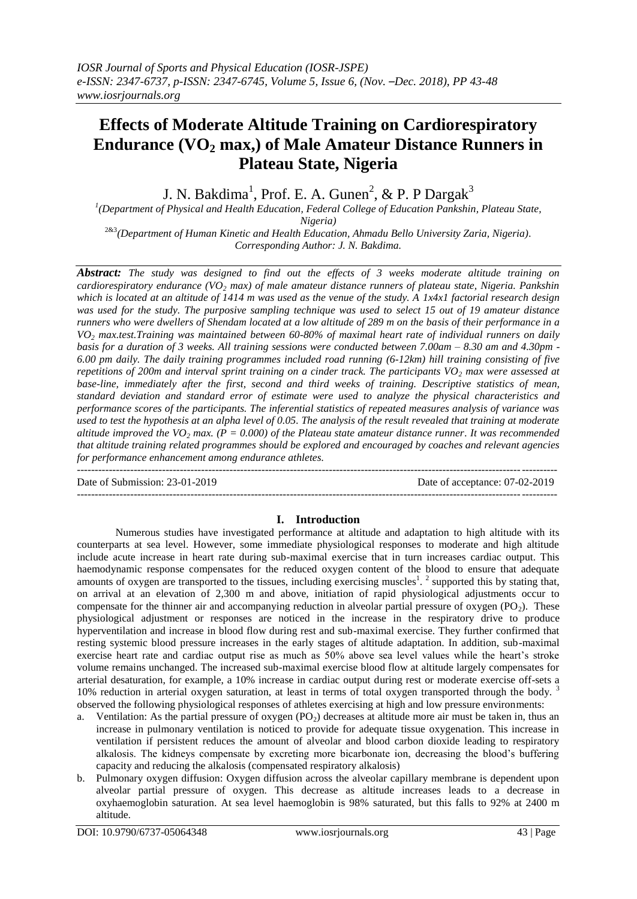# **Effects of Moderate Altitude Training on Cardiorespiratory Endurance (VO<sup>2</sup> max,) of Male Amateur Distance Runners in Plateau State, Nigeria**

J. N. Bakdima<sup>1</sup>, Prof. E. A. Gunen<sup>2</sup>, & P. P Dargak<sup>3</sup>

*1 (Department of Physical and Health Education, Federal College of Education Pankshin, Plateau State,* 

*Nigeria)* 2&3*(Department of Human Kinetic and Health Education, Ahmadu Bello University Zaria, Nigeria). Corresponding Author: J. N. Bakdima.*

*Abstract: The study was designed to find out the effects of 3 weeks moderate altitude training on cardiorespiratory endurance (VO<sup>2</sup> max) of male amateur distance runners of plateau state, Nigeria. Pankshin which is located at an altitude of 1414 m was used as the venue of the study. A 1x4x1 factorial research design was used for the study. The purposive sampling technique was used to select 15 out of 19 amateur distance runners who were dwellers of Shendam located at a low altitude of 289 m on the basis of their performance in a VO<sup>2</sup> max.test.Training was maintained between 60-80% of maximal heart rate of individual runners on daily basis for a duration of 3 weeks. All training sessions were conducted between 7.00am – 8.30 am and 4.30pm - 6.00 pm daily. The daily training programmes included road running (6-12km) hill training consisting of five repetitions of 200m and interval sprint training on a cinder track. The participants VO<sup>2</sup> max were assessed at base-line, immediately after the first, second and third weeks of training. Descriptive statistics of mean, standard deviation and standard error of estimate were used to analyze the physical characteristics and performance scores of the participants. The inferential statistics of repeated measures analysis of variance was used to test the hypothesis at an alpha level of 0.05. The analysis of the result revealed that training at moderate altitude improved the VO<sub>2</sub> max.* ( $P = 0.000$ ) of the Plateau state amateur distance runner. It was recommended *that altitude training related programmes should be explored and encouraged by coaches and relevant agencies for performance enhancement among endurance athletes.*

--------------------------------------------------------------------------------------------------------------------------------------- Date of Submission: 23-01-2019 Date of acceptance: 07-02-2019 ---------------------------------------------------------------------------------------------------------------------------------------

### **I. Introduction**

Numerous studies have investigated performance at altitude and adaptation to high altitude with its counterparts at sea level. However, some immediate physiological responses to moderate and high altitude include acute increase in heart rate during sub-maximal exercise that in turn increases cardiac output. This haemodynamic response compensates for the reduced oxygen content of the blood to ensure that adequate amounts of oxygen are transported to the tissues, including exercising muscles<sup>1</sup>.<sup>2</sup> supported this by stating that, on arrival at an elevation of 2,300 m and above, initiation of rapid physiological adjustments occur to compensate for the thinner air and accompanying reduction in alveolar partial pressure of oxygen  $(PO<sub>2</sub>)$ . These physiological adjustment or responses are noticed in the increase in the respiratory drive to produce hyperventilation and increase in blood flow during rest and sub-maximal exercise. They further confirmed that resting systemic blood pressure increases in the early stages of altitude adaptation. In addition, sub-maximal exercise heart rate and cardiac output rise as much as 50% above sea level values while the heart's stroke volume remains unchanged. The increased sub-maximal exercise blood flow at altitude largely compensates for arterial desaturation, for example, a 10% increase in cardiac output during rest or moderate exercise off-sets a 10% reduction in arterial oxygen saturation, at least in terms of total oxygen transported through the body. <sup>3</sup> observed the following physiological responses of athletes exercising at high and low pressure environments:

- a. Ventilation: As the partial pressure of oxygen  $(PO<sub>2</sub>)$  decreases at altitude more air must be taken in, thus an increase in pulmonary ventilation is noticed to provide for adequate tissue oxygenation. This increase in ventilation if persistent reduces the amount of alveolar and blood carbon dioxide leading to respiratory alkalosis. The kidneys compensate by excreting more bicarbonate ion, decreasing the blood's buffering capacity and reducing the alkalosis (compensated respiratory alkalosis)
- b. Pulmonary oxygen diffusion: Oxygen diffusion across the alveolar capillary membrane is dependent upon alveolar partial pressure of oxygen. This decrease as altitude increases leads to a decrease in oxyhaemoglobin saturation. At sea level haemoglobin is 98% saturated, but this falls to 92% at 2400 m altitude.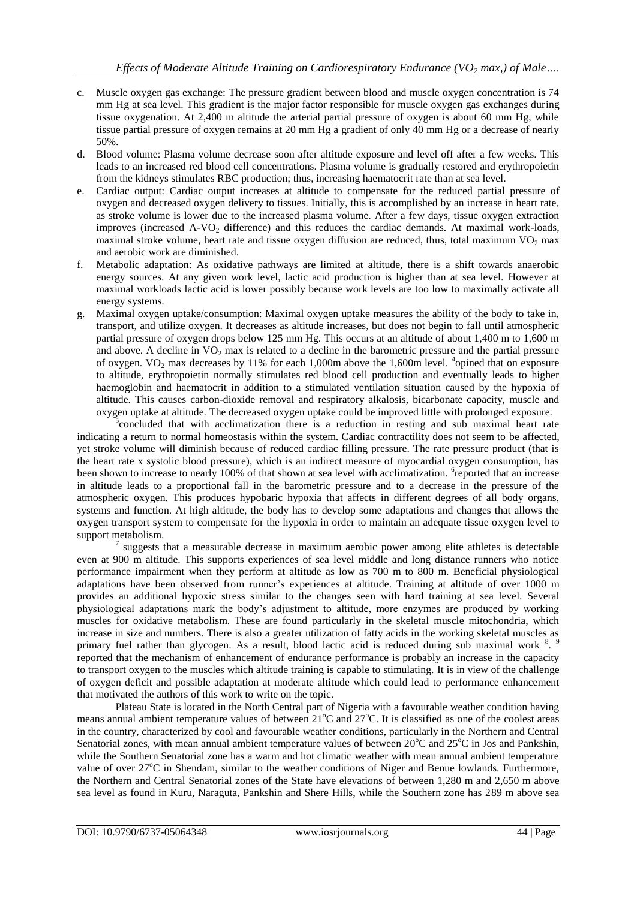- c. Muscle oxygen gas exchange: The pressure gradient between blood and muscle oxygen concentration is 74 mm Hg at sea level. This gradient is the major factor responsible for muscle oxygen gas exchanges during tissue oxygenation. At 2,400 m altitude the arterial partial pressure of oxygen is about 60 mm Hg, while tissue partial pressure of oxygen remains at 20 mm Hg a gradient of only 40 mm Hg or a decrease of nearly 50%.
- d. Blood volume: Plasma volume decrease soon after altitude exposure and level off after a few weeks. This leads to an increased red blood cell concentrations. Plasma volume is gradually restored and erythropoietin from the kidneys stimulates RBC production; thus, increasing haematocrit rate than at sea level.
- e. Cardiac output: Cardiac output increases at altitude to compensate for the reduced partial pressure of oxygen and decreased oxygen delivery to tissues. Initially, this is accomplished by an increase in heart rate, as stroke volume is lower due to the increased plasma volume. After a few days, tissue oxygen extraction improves (increased A-VO<sub>2</sub> difference) and this reduces the cardiac demands. At maximal work-loads, maximal stroke volume, heart rate and tissue oxygen diffusion are reduced, thus, total maximum  $VO<sub>2</sub>$  max and aerobic work are diminished.
- f. Metabolic adaptation: As oxidative pathways are limited at altitude, there is a shift towards anaerobic energy sources. At any given work level, lactic acid production is higher than at sea level. However at maximal workloads lactic acid is lower possibly because work levels are too low to maximally activate all energy systems.
- g. Maximal oxygen uptake/consumption: Maximal oxygen uptake measures the ability of the body to take in, transport, and utilize oxygen. It decreases as altitude increases, but does not begin to fall until atmospheric partial pressure of oxygen drops below 125 mm Hg. This occurs at an altitude of about 1,400 m to 1,600 m and above. A decline in  $VO<sub>2</sub>$  max is related to a decline in the barometric pressure and the partial pressure of oxygen. VO<sub>2</sub> max decreases by 11% for each 1,000m above the 1,600m level. <sup>4</sup>opined that on exposure to altitude, erythropoietin normally stimulates red blood cell production and eventually leads to higher haemoglobin and haematocrit in addition to a stimulated ventilation situation caused by the hypoxia of altitude. This causes carbon-dioxide removal and respiratory alkalosis, bicarbonate capacity, muscle and oxygen uptake at altitude. The decreased oxygen uptake could be improved little with prolonged exposure.

<sup>5</sup>concluded that with acclimatization there is a reduction in resting and sub maximal heart rate indicating a return to normal homeostasis within the system. Cardiac contractility does not seem to be affected, yet stroke volume will diminish because of reduced cardiac filling pressure. The rate pressure product (that is the heart rate x systolic blood pressure), which is an indirect measure of myocardial oxygen consumption, has been shown to increase to nearly 100% of that shown at sea level with acclimatization. <sup>6</sup> reported that an increase in altitude leads to a proportional fall in the barometric pressure and to a decrease in the pressure of the atmospheric oxygen. This produces hypobaric hypoxia that affects in different degrees of all body organs, systems and function. At high altitude, the body has to develop some adaptations and changes that allows the oxygen transport system to compensate for the hypoxia in order to maintain an adequate tissue oxygen level to support metabolism.

7 suggests that a measurable decrease in maximum aerobic power among elite athletes is detectable even at 900 m altitude. This supports experiences of sea level middle and long distance runners who notice performance impairment when they perform at altitude as low as 700 m to 800 m. Beneficial physiological adaptations have been observed from runner's experiences at altitude. Training at altitude of over 1000 m provides an additional hypoxic stress similar to the changes seen with hard training at sea level. Several physiological adaptations mark the body's adjustment to altitude, more enzymes are produced by working muscles for oxidative metabolism. These are found particularly in the skeletal muscle mitochondria, which increase in size and numbers. There is also a greater utilization of fatty acids in the working skeletal muscles as primary fuel rather than glycogen. As a result, blood lactic acid is reduced during sub maximal work 8. 9 reported that the mechanism of enhancement of endurance performance is probably an increase in the capacity to transport oxygen to the muscles which altitude training is capable to stimulating. It is in view of the challenge of oxygen deficit and possible adaptation at moderate altitude which could lead to performance enhancement that motivated the authors of this work to write on the topic.

Plateau State is located in the North Central part of Nigeria with a favourable weather condition having means annual ambient temperature values of between  $21^{\circ}$ C and  $27^{\circ}$ C. It is classified as one of the coolest areas in the country, characterized by cool and favourable weather conditions, particularly in the Northern and Central Senatorial zones, with mean annual ambient temperature values of between 20°C and 25°C in Jos and Pankshin, while the Southern Senatorial zone has a warm and hot climatic weather with mean annual ambient temperature value of over 27<sup>o</sup>C in Shendam, similar to the weather conditions of Niger and Benue lowlands. Furthermore, the Northern and Central Senatorial zones of the State have elevations of between 1,280 m and 2,650 m above sea level as found in Kuru, Naraguta, Pankshin and Shere Hills, while the Southern zone has 289 m above sea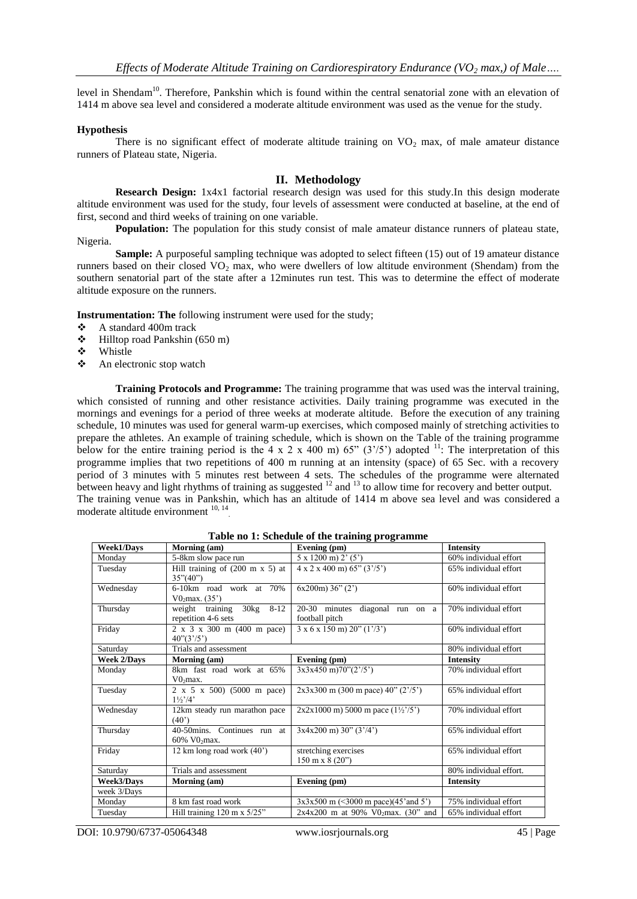level in Shendam<sup>10</sup>. Therefore, Pankshin which is found within the central senatorial zone with an elevation of 1414 m above sea level and considered a moderate altitude environment was used as the venue for the study.

#### **Hypothesis**

There is no significant effect of moderate altitude training on  $VO<sub>2</sub>$  max, of male amateur distance runners of Plateau state, Nigeria.

#### **II. Methodology**

**Research Design:** 1x4x1 factorial research design was used for this study.In this design moderate altitude environment was used for the study, four levels of assessment were conducted at baseline, at the end of first, second and third weeks of training on one variable.

**Population:** The population for this study consist of male amateur distance runners of plateau state, Nigeria.

**Sample:** A purposeful sampling technique was adopted to select fifteen (15) out of 19 amateur distance runners based on their closed  $VO<sub>2</sub>$  max, who were dwellers of low altitude environment (Shendam) from the southern senatorial part of the state after a 12minutes run test. This was to determine the effect of moderate altitude exposure on the runners.

**Instrumentation: The** following instrument were used for the study;

- A standard 400m track
- Hilltop road Pankshin (650 m)
- Whistle
- An electronic stop watch

**Training Protocols and Programme:** The training programme that was used was the interval training, which consisted of running and other resistance activities. Daily training programme was executed in the mornings and evenings for a period of three weeks at moderate altitude. Before the execution of any training schedule, 10 minutes was used for general warm-up exercises, which composed mainly of stretching activities to prepare the athletes. An example of training schedule, which is shown on the Table of the training programme below for the entire training period is the 4 x 2 x 400 m) 65" (3'/5') adopted  $^{11}$ : The interpretation of this programme implies that two repetitions of 400 m running at an intensity (space) of 65 Sec. with a recovery period of 3 minutes with 5 minutes rest between 4 sets. The schedules of the programme were alternated between heavy and light rhythms of training as suggested  $12$  and  $13$  to allow time for recovery and better output. The training venue was in Pankshin, which has an altitude of 1414 m above sea level and was considered a moderate altitude environment <sup>10, 14</sup>

| asive no 1. Senouane of the training programme |                                                     |                                                           |                        |  |  |  |
|------------------------------------------------|-----------------------------------------------------|-----------------------------------------------------------|------------------------|--|--|--|
| <b>Week1/Days</b>                              | Morning (am)                                        | Evening (pm)                                              | <b>Intensity</b>       |  |  |  |
| Mondav                                         | 5-8km slow pace run                                 | $5 \times 1200$ m) $2' (5')$                              | 60% individual effort  |  |  |  |
| Tuesday                                        | Hill training of $(200 \text{ m x 5})$ at           | $4 \times 2 \times 400 \text{ m}$ $65$ " $(3\frac{7}{5})$ | 65% individual effort  |  |  |  |
|                                                | $35^{\circ}(40^{\circ})$                            |                                                           |                        |  |  |  |
| Wednesday                                      | 6-10km road work at 70%                             | $6x200m$ ) 36" (2")                                       | 60% individual effort  |  |  |  |
|                                                | $V0_2$ max. (35')                                   |                                                           |                        |  |  |  |
| Thursday                                       | weight training 30kg 8-12                           | 20-30 minutes diagonal run on a                           | 70% individual effort  |  |  |  |
|                                                | repetition 4-6 sets                                 | football pitch                                            |                        |  |  |  |
| Friday                                         | $2 \times 3 \times 300$ m (400 m pace)              | $3 \times 6 \times 150$ m) $20$ " $(1'/3')$               | 60% individual effort  |  |  |  |
|                                                | $40^{\circ}(3^{\circ}/5^{\circ})$                   |                                                           |                        |  |  |  |
| Saturday                                       | Trials and assessment                               |                                                           | 80% individual effort  |  |  |  |
| <b>Week 2/Days</b>                             | Morning (am)                                        | Evening (pm)                                              | <b>Intensity</b>       |  |  |  |
| Monday                                         | 8km fast road work at 65%                           | $3x3x450 \text{ m}$ )70"(2'/5')                           | 70% individual effort  |  |  |  |
|                                                | V0 <sub>2</sub> max.                                |                                                           |                        |  |  |  |
| Tuesday                                        | 2 x 5 x 500) (5000 m pace)                          | $2x3x300$ m (300 m pace) 40" (2'/5')                      | 65% individual effort  |  |  |  |
|                                                | $1\frac{1}{2}$ '/4'                                 |                                                           |                        |  |  |  |
| Wednesday                                      | 12km steady run marathon pace                       | $2x2x1000$ m) 5000 m pace $(1\frac{1}{2}/5)$              | 70% individual effort  |  |  |  |
|                                                | (40)                                                |                                                           |                        |  |  |  |
| Thursday                                       | 40-50mins. Continues run at                         | $3x4x200$ m) $30''$ $(3'/4')$                             | 65% individual effort  |  |  |  |
|                                                | 60% V02max.                                         |                                                           |                        |  |  |  |
| Friday                                         | 12 km long road work (40')                          | stretching exercises                                      | 65% individual effort  |  |  |  |
|                                                |                                                     | $150 \text{ m} \times 8 (20)$                             |                        |  |  |  |
| Saturday                                       | Trials and assessment                               |                                                           | 80% individual effort. |  |  |  |
| Week3/Days                                     | Morning (am)                                        | Evening (pm)                                              | <b>Intensity</b>       |  |  |  |
| week 3/Days                                    |                                                     |                                                           |                        |  |  |  |
| Monday                                         | 8 km fast road work                                 | $3x3x500$ m (<3000 m pace)(45' and 5')                    | 75% individual effort  |  |  |  |
| Tuesday                                        | Hill training $120 \text{ m} \times \frac{5}{25}$ " | $2x4x200$ m at 90% V02max. (30" and                       | 65% individual effort  |  |  |  |

#### **Table no 1: Schedule of the training programme**

DOI: 10.9790/6737-05064348 www.iosrjournals.org 45 | Page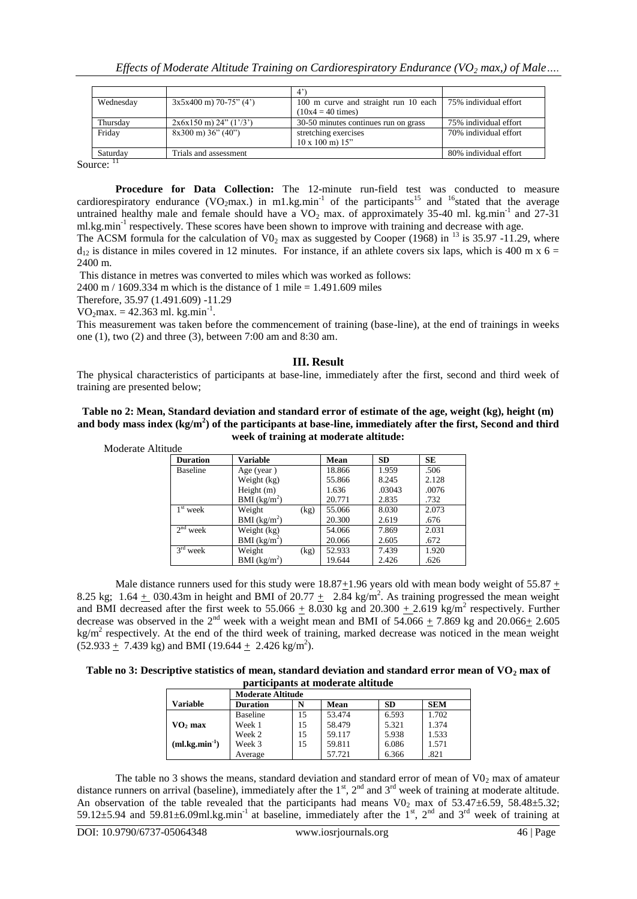| $3x5x400$ m) 70-75" (4')      | 100 m curve and straight run 10 each | 75% individual effort |
|-------------------------------|--------------------------------------|-----------------------|
|                               | $(10x4 = 40 \text{ times})$          |                       |
| $2x6x150$ m) $24$ " $(1'/3')$ | 30-50 minutes continues run on grass | 75% individual effort |
| $8x300 \text{ m}$ ) 36" (40") | stretching exercises                 | 70% individual effort |
|                               | $10 \times 100$ m) $15$ "            |                       |
| Trials and assessment         |                                      | 80% individual effort |
|                               |                                      |                       |

Source:  $11$ 

**Procedure for Data Collection:** The 12-minute run-field test was conducted to measure cardiorespiratory endurance (VO<sub>2</sub>max.) in m1.kg.min<sup>-1</sup> of the participants<sup>15</sup> and <sup>16</sup>stated that the average untrained healthy male and female should have a  $VO_2$  max. of approximately 35-40 ml. kg.min<sup>-1</sup> and 27-31 ml.kg.min<sup>-1</sup> respectively. These scores have been shown to improve with training and decrease with age.

The ACSM formula for the calculation of  $V0<sub>2</sub>$  max as suggested by Cooper (1968) in <sup>13</sup> is 35.97 -11.29, where  $d_{12}$  is distance in miles covered in 12 minutes. For instance, if an athlete covers six laps, which is 400 m x 6 = 2400 m.

This distance in metres was converted to miles which was worked as follows:

2400 m / 1609.334 m which is the distance of 1 mile =  $1.491.609$  miles

Therefore, 35.97 (1.491.609) -11.29

 $VO<sub>2</sub> max. = 42.363 ml. kg.min<sup>-1</sup>.$ 

This measurement was taken before the commencement of training (base-line), at the end of trainings in weeks one (1), two (2) and three (3), between 7:00 am and 8:30 am.

#### **III. Result**

The physical characteristics of participants at base-line, immediately after the first, second and third week of training are presented below;

#### **Table no 2: Mean, Standard deviation and standard error of estimate of the age, weight (kg), height (m) and body mass index (kg/m<sup>2</sup> ) of the participants at base-line, immediately after the first, Second and third week of training at moderate altitude:**

Moderate Altitude

| <b>Duration</b> | Variable                 | Mean   | <b>SD</b> | <b>SE</b> |
|-----------------|--------------------------|--------|-----------|-----------|
| <b>Baseline</b> | Age (year)               | 18.866 | 1.959     | .506      |
|                 | Weight (kg)              | 55.866 | 8.245     | 2.128     |
|                 | Height $(m)$             | 1.636  | .03043    | .0076     |
|                 | BMI (kg/m <sup>2</sup> ) | 20.771 | 2.835     | .732      |
| $1st$ week      | Weight<br>(kg)           | 55.066 | 8.030     | 2.073     |
|                 | BMI $(kg/m^2)$           | 20.300 | 2.619     | .676      |
| $2nd$ week      | Weight (kg)              | 54.066 | 7.869     | 2.031     |
|                 | BMI (kg/m <sup>2</sup> ) | 20.066 | 2.605     | .672      |
| $3rd$ week      | Weight<br>(kg)           | 52.933 | 7.439     | 1.920     |
|                 | BMI (kg/m <sup>2</sup> ) | 19.644 | 2.426     | .626      |

Male distance runners used for this study were  $18.87+1.96$  years old with mean body weight of  $55.87 +$ 8.25 kg; 1.64  $\pm$  030.43m in height and BMI of 20.77  $\pm$  2.84 kg/m<sup>2</sup>. As training progressed the mean weight and BMI decreased after the first week to 55.066  $\pm$  8.030 kg and 20.300  $\pm$  2.619 kg/m<sup>2</sup> respectively. Further decrease was observed in the 2<sup>nd</sup> week with a weight mean and BMI of 54.066  $\pm$  7.869 kg and 20.066 $\pm$  2.605  $kg/m<sup>2</sup>$  respectively. At the end of the third week of training, marked decrease was noticed in the mean weight  $(52.933 + 7.439 \text{ kg})$  and BMI (19.644 + 2.426 kg/m<sup>2</sup>).

| Table no 3: Descriptive statistics of mean, standard deviation and standard error mean of $\rm VO_2$ max of |  |
|-------------------------------------------------------------------------------------------------------------|--|
| participants at moderate altitude                                                                           |  |

|                     | <b>Moderate Altitude</b> |    |        |           |            |  |
|---------------------|--------------------------|----|--------|-----------|------------|--|
| Variable            | <b>Duration</b>          | N  | Mean   | <b>SD</b> | <b>SEM</b> |  |
|                     | <b>Baseline</b>          | 15 | 53.474 | 6.593     | 1.702      |  |
| VO <sub>2</sub> max | Week 1                   | 15 | 58.479 | 5.321     | 1.374      |  |
|                     | Week 2                   | 15 | 59.117 | 5.938     | 1.533      |  |
| $(ml.kg.min-1)$     | Week 3                   | 15 | 59.811 | 6.086     | 1.571      |  |
|                     | Average                  |    | 57.721 | 6.366     | .821       |  |

The table no 3 shows the means, standard deviation and standard error of mean of  $V0<sub>2</sub>$  max of amateur distance runners on arrival (baseline), immediately after the  $1<sup>st</sup>$ ,  $2<sup>nd</sup>$  and  $3<sup>rd</sup>$  week of training at moderate altitude. An observation of the table revealed that the participants had means  $V0<sub>2</sub>$  max of 53.47±6.59, 58.48±5.32; 59.12 $\pm$ 5.94 and 59.81 $\pm$ 6.09ml.kg.min<sup>-1</sup> at baseline, immediately after the 1<sup>st</sup>, 2<sup>nd</sup> and 3<sup>rd</sup> week of training at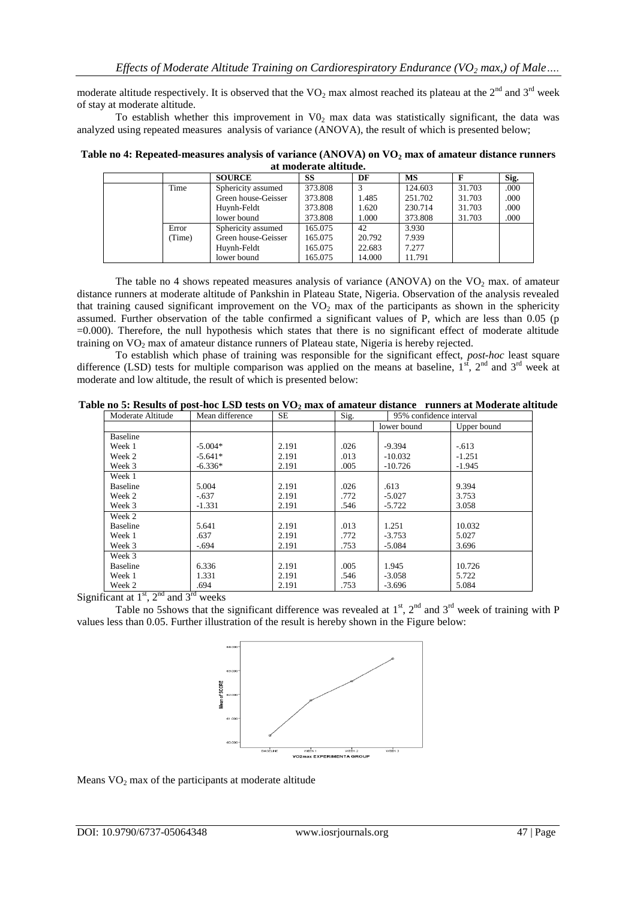moderate altitude respectively. It is observed that the  $VO_2$  max almost reached its plateau at the  $2<sup>nd</sup>$  and  $3<sup>rd</sup>$  week of stay at moderate altitude.

To establish whether this improvement in  $V_0$  max data was statistically significant, the data was analyzed using repeated measures analysis of variance (ANOVA), the result of which is presented below;

**Table no 4: Repeated-measures analysis of variance (ANOVA) on VO<sup>2</sup> max of amateur distance runners at moderate altitude.**

| uv mouveme uve ureneuv |        |                     |         |        |           |        |      |
|------------------------|--------|---------------------|---------|--------|-----------|--------|------|
|                        |        | <b>SOURCE</b>       | SS      | DF     | <b>MS</b> | F      | Sig. |
|                        | Time   | Sphericity assumed  | 373.808 |        | 124.603   | 31.703 | .000 |
|                        |        | Green house-Geisser | 373.808 | 1.485  | 251.702   | 31.703 | .000 |
|                        |        | Huynh-Feldt         | 373.808 | 1.620  | 230.714   | 31.703 | .000 |
|                        |        | lower bound         | 373.808 | 1.000  | 373.808   | 31.703 | .000 |
|                        | Error  | Sphericity assumed  | 165.075 | 42     | 3.930     |        |      |
|                        | (Time) | Green house-Geisser | 165.075 | 20.792 | 7.939     |        |      |
|                        |        | Huynh-Feldt         | 165.075 | 22.683 | 7.277     |        |      |
|                        |        | lower bound         | 165.075 | 14.000 | 11.791    |        |      |

The table no 4 shows repeated measures analysis of variance (ANOVA) on the  $VO<sub>2</sub>$  max. of amateur distance runners at moderate altitude of Pankshin in Plateau State, Nigeria. Observation of the analysis revealed that training caused significant improvement on the  $VO<sub>2</sub>$  max of the participants as shown in the sphericity assumed. Further observation of the table confirmed a significant values of P, which are less than 0.05 (p =0.000). Therefore, the null hypothesis which states that there is no significant effect of moderate altitude training on VO<sub>2</sub> max of amateur distance runners of Plateau state, Nigeria is hereby rejected.

To establish which phase of training was responsible for the significant effect, *post-hoc* least square difference (LSD) tests for multiple comparison was applied on the means at baseline,  $1<sup>st</sup>$ ,  $2<sup>nd</sup>$  and  $3<sup>rd</sup>$  week at moderate and low altitude, the result of which is presented below:

**Table no 5: Results of post-hoc LSD tests on VO<sup>2</sup> max of amateur distance runners at Moderate altitude**

| Moderate Altitude                | Mean difference | <b>SE</b> | Sig.<br>95% confidence interval |             |             |
|----------------------------------|-----------------|-----------|---------------------------------|-------------|-------------|
|                                  |                 |           |                                 | lower bound | Upper bound |
| <b>Baseline</b>                  |                 |           |                                 |             |             |
| Week 1                           | $-5.004*$       | 2.191     | .026                            | $-9.394$    | $-.613$     |
| Week 2                           | $-5.641*$       | 2.191     | .013                            | $-10.032$   | $-1.251$    |
| Week 3                           | $-6.336*$       | 2.191     | .005                            | $-10.726$   | $-1.945$    |
| Week 1                           |                 |           |                                 |             |             |
| <b>Baseline</b>                  | 5.004           | 2.191     | .026                            | .613        | 9.394       |
| Week 2                           | $-.637$         | 2.191     | .772                            | $-5.027$    | 3.753       |
| Week 3                           | $-1.331$        | 2.191     | .546                            | $-5.722$    | 3.058       |
| Week 2                           |                 |           |                                 |             |             |
| Baseline                         | 5.641           | 2.191     | .013                            | 1.251       | 10.032      |
| Week 1                           | .637            | 2.191     | .772                            | $-3.753$    | 5.027       |
| Week 3                           | -.694           | 2.191     | .753                            | $-5.084$    | 3.696       |
| Week 3                           |                 |           |                                 |             |             |
| Baseline                         | 6.336           | 2.191     | .005                            | 1.945       | 10.726      |
| Week 1                           | 1.331           | 2.191     | .546                            | $-3.058$    | 5.722       |
| Week 2<br>$.$ et $=$ nd<br>$-rd$ | .694            | 2.191     | .753                            | $-3.696$    | 5.084       |

Significant at  $1<sup>st</sup>$ ,  $2<sup>nd</sup>$  and  $3<sup>rd</sup>$  weeks

Table no 5shows that the significant difference was revealed at  $1<sup>st</sup>$ ,  $2<sup>nd</sup>$  and  $3<sup>rd</sup>$  week of training with P values less than 0.05. Further illustration of the result is hereby shown in the Figure below:



Means  $VO<sub>2</sub>$  max of the participants at moderate altitude